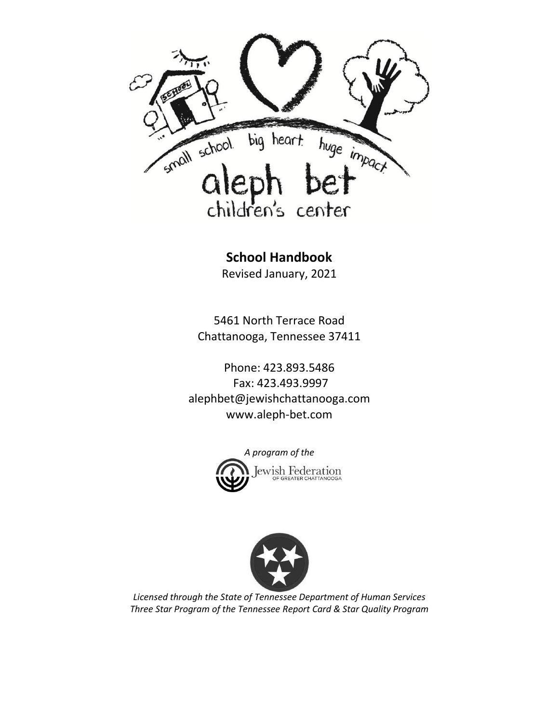

**School Handbook**

Revised January, 2021

5461 North Terrace Road Chattanooga, Tennessee 37411

Phone: 423.893.5486 Fax: 423.493.9997 [alephbet@jewishchattanooga.com](mailto:alephbet@jewishchattanooga.com) www.aleph-bet.com





*Licensed through the State of Tennessee Department of Human Services Three Star Program of the Tennessee Report Card & Star Quality Program*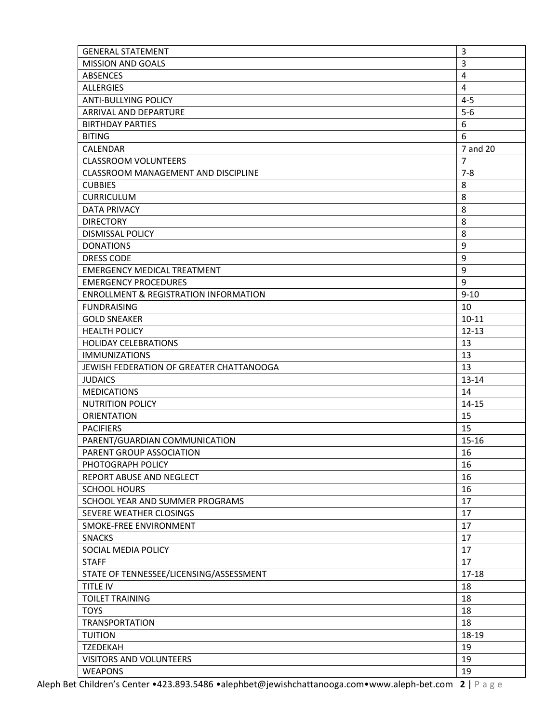| <b>GENERAL STATEMENT</b>                         | 3              |
|--------------------------------------------------|----------------|
| <b>MISSION AND GOALS</b>                         | $\overline{3}$ |
| ABSENCES                                         | 4              |
| <b>ALLERGIES</b>                                 | 4              |
| <b>ANTI-BULLYING POLICY</b>                      | $4 - 5$        |
| ARRIVAL AND DEPARTURE                            | $5-6$          |
| <b>BIRTHDAY PARTIES</b>                          | 6              |
| <b>BITING</b>                                    | 6              |
| CALENDAR                                         | 7 and 20       |
| <b>CLASSROOM VOLUNTEERS</b>                      | $\overline{7}$ |
| CLASSROOM MANAGEMENT AND DISCIPLINE              | $7 - 8$        |
| <b>CUBBIES</b>                                   | 8              |
| <b>CURRICULUM</b>                                | 8              |
| <b>DATA PRIVACY</b>                              | 8              |
| <b>DIRECTORY</b>                                 | 8              |
| DISMISSAL POLICY                                 | 8              |
| <b>DONATIONS</b>                                 | 9              |
| <b>DRESS CODE</b>                                | 9              |
| <b>EMERGENCY MEDICAL TREATMENT</b>               | 9              |
| <b>EMERGENCY PROCEDURES</b>                      | 9              |
| <b>ENROLLMENT &amp; REGISTRATION INFORMATION</b> | $9 - 10$       |
| <b>FUNDRAISING</b>                               | 10             |
| <b>GOLD SNEAKER</b>                              | $10 - 11$      |
| <b>HEALTH POLICY</b>                             | $12 - 13$      |
| <b>HOLIDAY CELEBRATIONS</b>                      | 13             |
|                                                  |                |
| <b>IMMUNIZATIONS</b>                             | 13<br>13       |
| JEWISH FEDERATION OF GREATER CHATTANOOGA         | 13-14          |
| <b>JUDAICS</b><br><b>MEDICATIONS</b>             | 14             |
| <b>NUTRITION POLICY</b>                          | $14 - 15$      |
| <b>ORIENTATION</b>                               |                |
| <b>PACIFIERS</b>                                 | 15<br>15       |
|                                                  |                |
| PARENT/GUARDIAN COMMUNICATION                    | $15 - 16$      |
| PARENT GROUP ASSOCIATION                         | 16             |
| PHOTOGRAPH POLICY                                | 16             |
| REPORT ABUSE AND NEGLECT                         | 16             |
| <b>SCHOOL HOURS</b>                              | 16             |
| SCHOOL YEAR AND SUMMER PROGRAMS                  | 17             |
| SEVERE WEATHER CLOSINGS                          | 17             |
| SMOKE-FREE ENVIRONMENT                           | 17             |
| <b>SNACKS</b>                                    | 17             |
| SOCIAL MEDIA POLICY                              | 17             |
| <b>STAFF</b>                                     | 17             |
| STATE OF TENNESSEE/LICENSING/ASSESSMENT          | $17 - 18$      |
| TITLE IV                                         | 18             |
| <b>TOILET TRAINING</b>                           | 18             |
| <b>TOYS</b>                                      | 18             |
| <b>TRANSPORTATION</b>                            | 18             |
| <b>TUITION</b>                                   | 18-19          |
| <b>TZEDEKAH</b>                                  | 19             |
| VISITORS AND VOLUNTEERS                          | 19             |
| <b>WEAPONS</b>                                   | 19             |
|                                                  |                |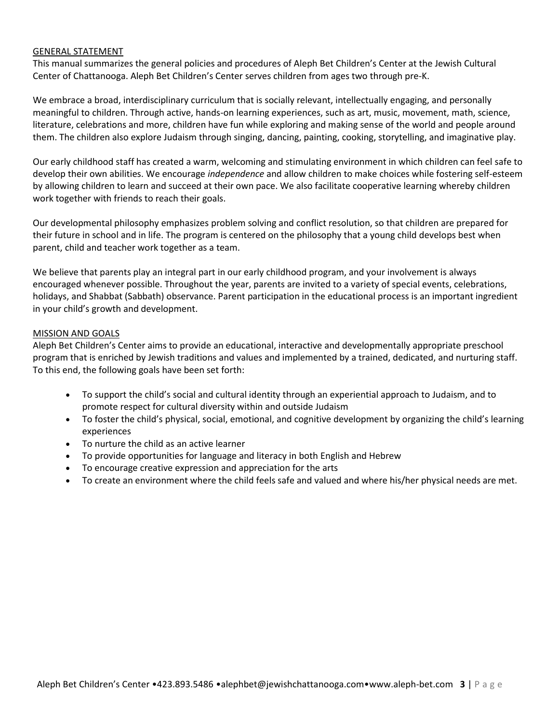#### GENERAL STATEMENT

This manual summarizes the general policies and procedures of Aleph Bet Children's Center at the Jewish Cultural Center of Chattanooga. Aleph Bet Children's Center serves children from ages two through pre-K.

We embrace a broad, interdisciplinary curriculum that is socially relevant, intellectually engaging, and personally meaningful to children. Through active, hands-on learning experiences, such as art, music, movement, math, science, literature, celebrations and more, children have fun while exploring and making sense of the world and people around them. The children also explore Judaism through singing, dancing, painting, cooking, storytelling, and imaginative play.

Our early childhood staff has created a warm, welcoming and stimulating environment in which children can feel safe to develop their own abilities. We encourage *independence* and allow children to make choices while fostering self-esteem by allowing children to learn and succeed at their own pace. We also facilitate cooperative learning whereby children work together with friends to reach their goals.

Our developmental philosophy emphasizes problem solving and conflict resolution, so that children are prepared for their future in school and in life. The program is centered on the philosophy that a young child develops best when parent, child and teacher work together as a team.

We believe that parents play an integral part in our early childhood program, and your involvement is always encouraged whenever possible. Throughout the year, parents are invited to a variety of special events, celebrations, holidays, and Shabbat (Sabbath) observance. Parent participation in the educational process is an important ingredient in your child's growth and development.

#### MISSION AND GOALS

Aleph Bet Children's Center aims to provide an educational, interactive and developmentally appropriate preschool program that is enriched by Jewish traditions and values and implemented by a trained, dedicated, and nurturing staff. To this end, the following goals have been set forth:

- To support the child's social and cultural identity through an experiential approach to Judaism, and to promote respect for cultural diversity within and outside Judaism
- To foster the child's physical, social, emotional, and cognitive development by organizing the child's learning experiences
- To nurture the child as an active learner
- To provide opportunities for language and literacy in both English and Hebrew
- To encourage creative expression and appreciation for the arts
- To create an environment where the child feels safe and valued and where his/her physical needs are met.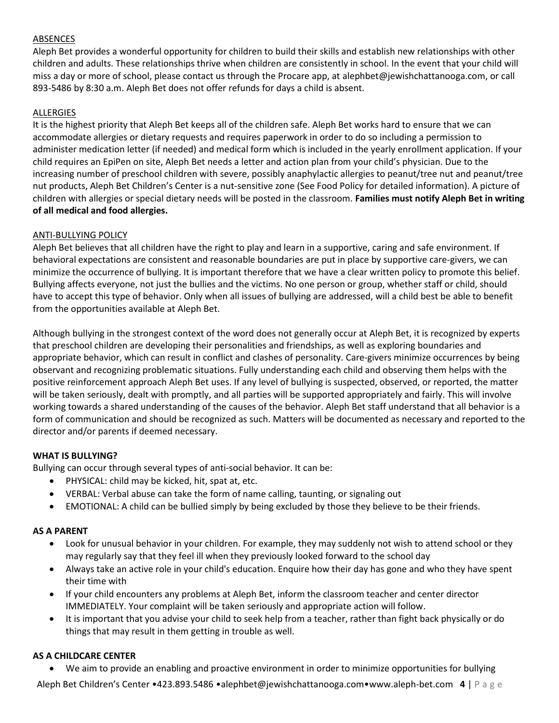### ABSENCES

Aleph Bet provides a wonderful opportunity for children to build their skills and establish new relationships with other children and adults. These relationships thrive when children are consistently in school. In the event that your child will miss a day or more of school, please contact us through the Procare app, at [alephbet@jewishchattanooga.com,](mailto:alephbet@jewishchattanooga.com) or call 893-5486 by 8:30 a.m. Aleph Bet does not offer refunds for days a child is absent.

## ALLERGIES

It is the highest priority that Aleph Bet keeps all of the children safe. Aleph Bet works hard to ensure that we can accommodate allergies or dietary requests and requires paperwork in order to do so including a permission to administer medication letter (if needed) and medical form which is included in the yearly enrollment application. If your child requires an EpiPen on site, Aleph Bet needs a letter and action plan from your child's physician. Due to the increasing number of preschool children with severe, possibly anaphylactic allergies to peanut/tree nut and peanut/tree nut products, Aleph Bet Children's Center is a nut-sensitive zone (See Food Policy for detailed information). A picture of children with allergies or special dietary needs will be posted in the classroom. **Families must notify Aleph Bet in writing of all medical and food allergies.**

#### ANTI-BULLYING POLICY

Aleph Bet believes that all children have the right to play and learn in a supportive, caring and safe environment. If behavioral expectations are consistent and reasonable boundaries are put in place by supportive care-givers, we can minimize the occurrence of bullying. It is important therefore that we have a clear written policy to promote this belief. Bullying affects everyone, not just the bullies and the victims. No one person or group, whether staff or child, should have to accept this type of behavior. Only when all issues of bullying are addressed, will a child best be able to benefit from the opportunities available at Aleph Bet.

Although bullying in the strongest context of the word does not generally occur at Aleph Bet, it is recognized by experts that preschool children are developing their personalities and friendships, as well as exploring boundaries and appropriate behavior, which can result in conflict and clashes of personality. Care-givers minimize occurrences by being observant and recognizing problematic situations. Fully understanding each child and observing them helps with the positive reinforcement approach Aleph Bet uses. If any level of bullying is suspected, observed, or reported, the matter will be taken seriously, dealt with promptly, and all parties will be supported appropriately and fairly. This will involve working towards a shared understanding of the causes of the behavior. Aleph Bet staff understand that all behavior is a form of communication and should be recognized as such. Matters will be documented as necessary and reported to the director and/or parents if deemed necessary.

### **WHAT IS BULLYING?**

Bullying can occur through several types of anti-social behavior. It can be:

- PHYSICAL: child may be kicked, hit, spat at, etc.
- VERBAL: Verbal abuse can take the form of name calling, taunting, or signaling out
- EMOTIONAL: A child can be bullied simply by being excluded by those they believe to be their friends.

### **AS A PARENT**

- Look for unusual behavior in your children. For example, they may suddenly not wish to attend school or they may regularly say that they feel ill when they previously looked forward to the school day
- Always take an active role in your child's education. Enquire how their day has gone and who they have spent their time with
- If your child encounters any problems at Aleph Bet, inform the classroom teacher and center director IMMEDIATELY. Your complaint will be taken seriously and appropriate action will follow.
- It is important that you advise your child to seek help from a teacher, rather than fight back physically or do things that may result in them getting in trouble as well.

### **AS A CHILDCARE CENTER**

We aim to provide an enabling and proactive environment in order to minimize opportunities for bullying

Aleph Bet Children's Center •423.893.5486 •alephbet@jewishchattanooga.com•www.aleph-bet.com **4** | P a g e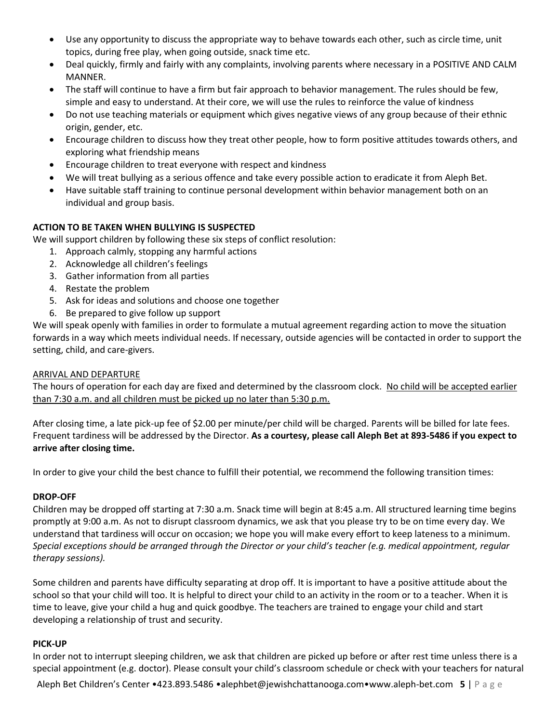- Use any opportunity to discuss the appropriate way to behave towards each other, such as circle time, unit topics, during free play, when going outside, snack time etc.
- Deal quickly, firmly and fairly with any complaints, involving parents where necessary in a POSITIVE AND CALM MANNER.
- The staff will continue to have a firm but fair approach to behavior management. The rules should be few, simple and easy to understand. At their core, we will use the rules to reinforce the value of kindness
- Do not use teaching materials or equipment which gives negative views of any group because of their ethnic origin, gender, etc.
- Encourage children to discuss how they treat other people, how to form positive attitudes towards others, and exploring what friendship means
- Encourage children to treat everyone with respect and kindness
- We will treat bullying as a serious offence and take every possible action to eradicate it from Aleph Bet.
- Have suitable staff training to continue personal development within behavior management both on an individual and group basis.

# **ACTION TO BE TAKEN WHEN BULLYING IS SUSPECTED**

We will support children by following these six steps of conflict resolution:

- 1. Approach calmly, stopping any harmful actions
- 2. Acknowledge all children's feelings
- 3. Gather information from all parties
- 4. Restate the problem
- 5. Ask for ideas and solutions and choose one together
- 6. Be prepared to give follow up support

We will speak openly with families in order to formulate a mutual agreement regarding action to move the situation forwards in a way which meets individual needs. If necessary, outside agencies will be contacted in order to support the setting, child, and care-givers.

# ARRIVAL AND DEPARTURE

The hours of operation for each day are fixed and determined by the classroom clock. No child will be accepted earlier than 7:30 a.m. and all children must be picked up no later than 5:30 p.m.

After closing time, a late pick-up fee of \$2.00 per minute/per child will be charged. Parents will be billed for late fees. Frequent tardiness will be addressed by the Director. **As a courtesy, please call Aleph Bet at 893-5486 if you expect to arrive after closing time.**

In order to give your child the best chance to fulfill their potential, we recommend the following transition times:

# **DROP-OFF**

Children may be dropped off starting at 7:30 a.m. Snack time will begin at 8:45 a.m. All structured learning time begins promptly at 9:00 a.m. As not to disrupt classroom dynamics, we ask that you please try to be on time every day. We understand that tardiness will occur on occasion; we hope you will make every effort to keep lateness to a minimum. *Special exceptions should be arranged through the Director or your child's teacher (e.g. medical appointment, regular therapy sessions).* 

Some children and parents have difficulty separating at drop off. It is important to have a positive attitude about the school so that your child will too. It is helpful to direct your child to an activity in the room or to a teacher. When it is time to leave, give your child a hug and quick goodbye. The teachers are trained to engage your child and start developing a relationship of trust and security.

### **PICK-UP**

In order not to interrupt sleeping children, we ask that children are picked up before or after rest time unless there is a special appointment (e.g. doctor). Please consult your child's classroom schedule or check with your teachers for natural

Aleph Bet Children's Center •423.893.5486 •alephbet@jewishchattanooga.com•www.aleph-bet.com **5** | P a g e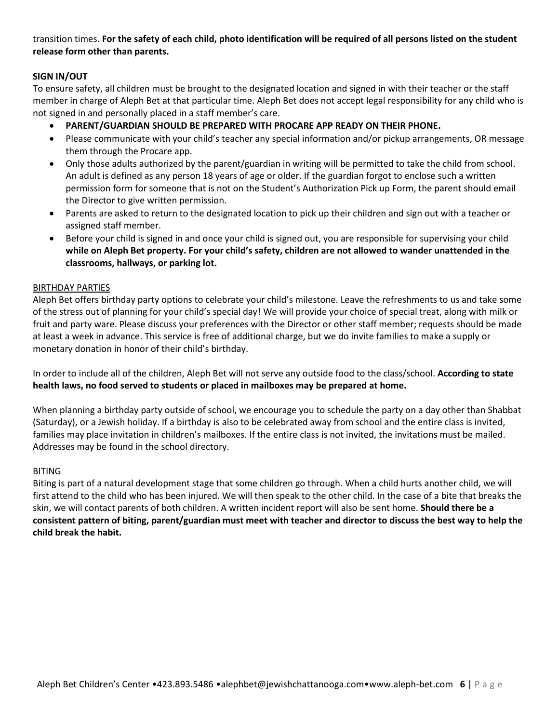transition times. **For the safety of each child, photo identification will be required of all persons listed on the student release form other than parents.**

# **SIGN IN/OUT**

To ensure safety, all children must be brought to the designated location and signed in with their teacher or the staff member in charge of Aleph Bet at that particular time. Aleph Bet does not accept legal responsibility for any child who is not signed in and personally placed in a staff member's care.

- **PARENT/GUARDIAN SHOULD BE PREPARED WITH PROCARE APP READY ON THEIR PHONE.**
- Please communicate with your child's teacher any special information and/or pickup arrangements, OR message them through the Procare app.
- Only those adults authorized by the parent/guardian in writing will be permitted to take the child from school. An adult is defined as any person 18 years of age or older. If the guardian forgot to enclose such a written permission form for someone that is not on the Student's Authorization Pick up Form, the parent should email the Director to give written permission.
- Parents are asked to return to the designated location to pick up their children and sign out with a teacher or assigned staff member.
- Before your child is signed in and once your child is signed out, you are responsible for supervising your child **while on Aleph Bet property. For your child's safety, children are not allowed to wander unattended in the classrooms, hallways, or parking lot.**

### BIRTHDAY PARTIES

Aleph Bet offers birthday party options to celebrate your child's milestone. Leave the refreshments to us and take some of the stress out of planning for your child's special day! We will provide your choice of special treat, along with milk or fruit and party ware. Please discuss your preferences with the Director or other staff member; requests should be made at least a week in advance. This service is free of additional charge, but we do invite families to make a supply or monetary donation in honor of their child's birthday.

In order to include all of the children, Aleph Bet will not serve any outside food to the class/school. **According to state health laws, no food served to students or placed in mailboxes may be prepared at home.**

When planning a birthday party outside of school, we encourage you to schedule the party on a day other than Shabbat (Saturday), or a Jewish holiday. If a birthday is also to be celebrated away from school and the entire class is invited, families may place invitation in children's mailboxes. If the entire class is not invited, the invitations must be mailed. Addresses may be found in the school directory.

### BITING

Biting is part of a natural development stage that some children go through. When a child hurts another child, we will first attend to the child who has been injured. We will then speak to the other child. In the case of a bite that breaks the skin, we will contact parents of both children. A written incident report will also be sent home. **Should there be a consistent pattern of biting, parent/guardian must meet with teacher and director to discuss the best way to help the child break the habit.**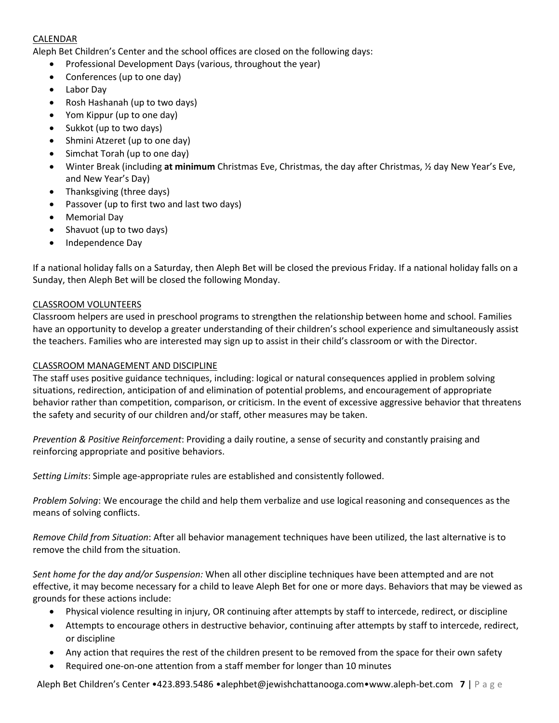## CALENDAR

Aleph Bet Children's Center and the school offices are closed on the following days:

- Professional Development Days (various, throughout the year)
- Conferences (up to one day)
- Labor Day
- Rosh Hashanah (up to two days)
- Yom Kippur (up to one day)
- Sukkot (up to two days)
- Shmini Atzeret (up to one day)
- Simchat Torah (up to one day)
- Winter Break (including **at minimum** Christmas Eve, Christmas, the day after Christmas, ½ day New Year's Eve, and New Year's Day)
- Thanksgiving (three days)
- Passover (up to first two and last two days)
- Memorial Day
- Shavuot (up to two days)
- Independence Day

If a national holiday falls on a Saturday, then Aleph Bet will be closed the previous Friday. If a national holiday falls on a Sunday, then Aleph Bet will be closed the following Monday.

### CLASSROOM VOLUNTEERS

Classroom helpers are used in preschool programs to strengthen the relationship between home and school. Families have an opportunity to develop a greater understanding of their children's school experience and simultaneously assist the teachers. Families who are interested may sign up to assist in their child's classroom or with the Director.

### CLASSROOM MANAGEMENT AND DISCIPLINE

The staff uses positive guidance techniques, including: logical or natural consequences applied in problem solving situations, redirection, anticipation of and elimination of potential problems, and encouragement of appropriate behavior rather than competition, comparison, or criticism. In the event of excessive aggressive behavior that threatens the safety and security of our children and/or staff, other measures may be taken.

*Prevention & Positive Reinforcement*: Providing a daily routine, a sense of security and constantly praising and reinforcing appropriate and positive behaviors.

*Setting Limits*: Simple age-appropriate rules are established and consistently followed.

*Problem Solving*: We encourage the child and help them verbalize and use logical reasoning and consequences as the means of solving conflicts.

*Remove Child from Situation*: After all behavior management techniques have been utilized, the last alternative is to remove the child from the situation.

*Sent home for the day and/or Suspension:* When all other discipline techniques have been attempted and are not effective, it may become necessary for a child to leave Aleph Bet for one or more days. Behaviors that may be viewed as grounds for these actions include:

- Physical violence resulting in injury, OR continuing after attempts by staff to intercede, redirect, or discipline
- Attempts to encourage others in destructive behavior, continuing after attempts by staff to intercede, redirect, or discipline
- Any action that requires the rest of the children present to be removed from the space for their own safety
- Required one-on-one attention from a staff member for longer than 10 minutes

Aleph Bet Children's Center •423.893.5486 •alephbet@jewishchattanooga.com•www.aleph-bet.com **7** | P a g e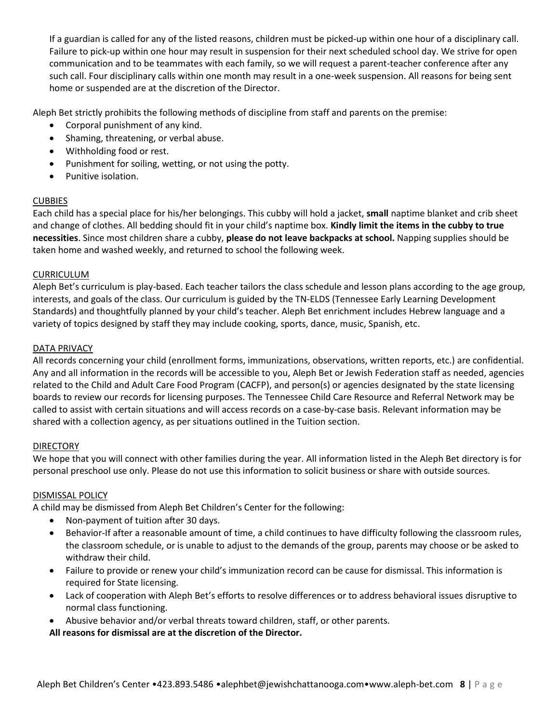If a guardian is called for any of the listed reasons, children must be picked-up within one hour of a disciplinary call. Failure to pick-up within one hour may result in suspension for their next scheduled school day. We strive for open communication and to be teammates with each family, so we will request a parent-teacher conference after any such call. Four disciplinary calls within one month may result in a one-week suspension. All reasons for being sent home or suspended are at the discretion of the Director.

Aleph Bet strictly prohibits the following methods of discipline from staff and parents on the premise:

- Corporal punishment of any kind.
- Shaming, threatening, or verbal abuse.
- Withholding food or rest.
- Punishment for soiling, wetting, or not using the potty.
- Punitive isolation.

## **CUBBIES**

Each child has a special place for his/her belongings. This cubby will hold a jacket, **small** naptime blanket and crib sheet and change of clothes. All bedding should fit in your child's naptime box. **Kindly limit the items in the cubby to true necessities**. Since most children share a cubby, **please do not leave backpacks at school.** Napping supplies should be taken home and washed weekly, and returned to school the following week.

### CURRICULUM

Aleph Bet's curriculum is play-based. Each teacher tailors the class schedule and lesson plans according to the age group, interests, and goals of the class. Our curriculum is guided by the TN-ELDS (Tennessee Early Learning Development Standards) and thoughtfully planned by your child's teacher. Aleph Bet enrichment includes Hebrew language and a variety of topics designed by staff they may include cooking, sports, dance, music, Spanish, etc.

### DATA PRIVACY

All records concerning your child (enrollment forms, immunizations, observations, written reports, etc.) are confidential. Any and all information in the records will be accessible to you, Aleph Bet or Jewish Federation staff as needed, agencies related to the Child and Adult Care Food Program (CACFP), and person(s) or agencies designated by the state licensing boards to review our records for licensing purposes. The Tennessee Child Care Resource and Referral Network may be called to assist with certain situations and will access records on a case-by-case basis. Relevant information may be shared with a collection agency, as per situations outlined in the Tuition section.

### DIRECTORY

We hope that you will connect with other families during the year. All information listed in the Aleph Bet directory is for personal preschool use only. Please do not use this information to solicit business or share with outside sources.

### DISMISSAL POLICY

A child may be dismissed from Aleph Bet Children's Center for the following:

- Non-payment of tuition after 30 days.
- Behavior-If after a reasonable amount of time, a child continues to have difficulty following the classroom rules, the classroom schedule, or is unable to adjust to the demands of the group, parents may choose or be asked to withdraw their child.
- Failure to provide or renew your child's immunization record can be cause for dismissal. This information is required for State licensing.
- Lack of cooperation with Aleph Bet's efforts to resolve differences or to address behavioral issues disruptive to normal class functioning.
- Abusive behavior and/or verbal threats toward children, staff, or other parents.

**All reasons for dismissal are at the discretion of the Director.**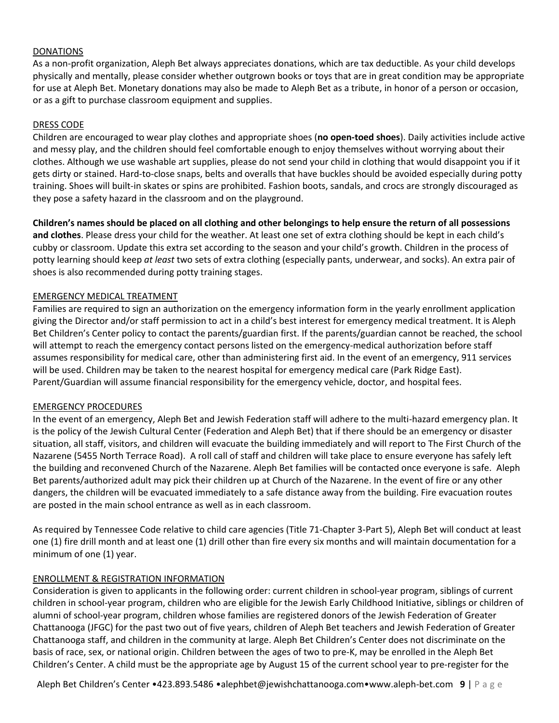#### DONATIONS

As a non-profit organization, Aleph Bet always appreciates donations, which are tax deductible. As your child develops physically and mentally, please consider whether outgrown books or toys that are in great condition may be appropriate for use at Aleph Bet. Monetary donations may also be made to Aleph Bet as a tribute, in honor of a person or occasion, or as a gift to purchase classroom equipment and supplies.

#### DRESS CODE

Children are encouraged to wear play clothes and appropriate shoes (**no open-toed shoes**). Daily activities include active and messy play, and the children should feel comfortable enough to enjoy themselves without worrying about their clothes. Although we use washable art supplies, please do not send your child in clothing that would disappoint you if it gets dirty or stained. Hard-to-close snaps, belts and overalls that have buckles should be avoided especially during potty training. Shoes will built-in skates or spins are prohibited. Fashion boots, sandals, and crocs are strongly discouraged as they pose a safety hazard in the classroom and on the playground.

**Children's names should be placed on all clothing and other belongings to help ensure the return of all possessions and clothes**. Please dress your child for the weather. At least one set of extra clothing should be kept in each child's cubby or classroom. Update this extra set according to the season and your child's growth. Children in the process of potty learning should keep *at least* two sets of extra clothing (especially pants, underwear, and socks). An extra pair of shoes is also recommended during potty training stages.

#### EMERGENCY MEDICAL TREATMENT

Families are required to sign an authorization on the emergency information form in the yearly enrollment application giving the Director and/or staff permission to act in a child's best interest for emergency medical treatment. It is Aleph Bet Children's Center policy to contact the parents/guardian first. If the parents/guardian cannot be reached, the school will attempt to reach the emergency contact persons listed on the emergency-medical authorization before staff assumes responsibility for medical care, other than administering first aid. In the event of an emergency, 911 services will be used. Children may be taken to the nearest hospital for emergency medical care (Park Ridge East). Parent/Guardian will assume financial responsibility for the emergency vehicle, doctor, and hospital fees.

### EMERGENCY PROCEDURES

In the event of an emergency, Aleph Bet and Jewish Federation staff will adhere to the multi-hazard emergency plan. It is the policy of the Jewish Cultural Center (Federation and Aleph Bet) that if there should be an emergency or disaster situation, all staff, visitors, and children will evacuate the building immediately and will report to The First Church of the Nazarene (5455 North Terrace Road). A roll call of staff and children will take place to ensure everyone has safely left the building and reconvened Church of the Nazarene. Aleph Bet families will be contacted once everyone is safe. Aleph Bet parents/authorized adult may pick their children up at Church of the Nazarene. In the event of fire or any other dangers, the children will be evacuated immediately to a safe distance away from the building. Fire evacuation routes are posted in the main school entrance as well as in each classroom.

As required by Tennessee Code relative to child care agencies (Title 71-Chapter 3-Part 5), Aleph Bet will conduct at least one (1) fire drill month and at least one (1) drill other than fire every six months and will maintain documentation for a minimum of one (1) year.

#### ENROLLMENT & REGISTRATION INFORMATION

Consideration is given to applicants in the following order: current children in school-year program, siblings of current children in school-year program, children who are eligible for the Jewish Early Childhood Initiative, siblings or children of alumni of school-year program, children whose families are registered donors of the Jewish Federation of Greater Chattanooga (JFGC) for the past two out of five years, children of Aleph Bet teachers and Jewish Federation of Greater Chattanooga staff, and children in the community at large. Aleph Bet Children's Center does not discriminate on the basis of race, sex, or national origin. Children between the ages of two to pre-K, may be enrolled in the Aleph Bet Children's Center. A child must be the appropriate age by August 15 of the current school year to pre-register for the

Aleph Bet Children's Center •423.893.5486 •alephbet@jewishchattanooga.com•www.aleph-bet.com **9** | P a g e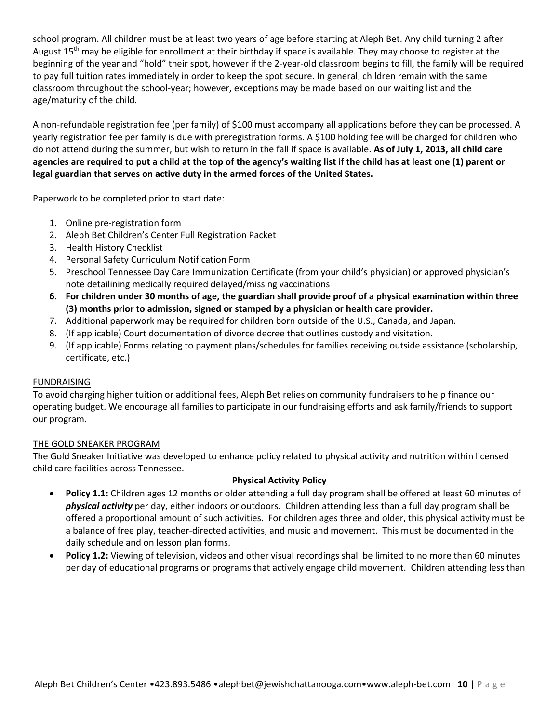school program. All children must be at least two years of age before starting at Aleph Bet. Any child turning 2 after August  $15<sup>th</sup>$  may be eligible for enrollment at their birthday if space is available. They may choose to register at the beginning of the year and "hold" their spot, however if the 2-year-old classroom begins to fill, the family will be required to pay full tuition rates immediately in order to keep the spot secure. In general, children remain with the same classroom throughout the school-year; however, exceptions may be made based on our waiting list and the age/maturity of the child.

A non-refundable registration fee (per family) of \$100 must accompany all applications before they can be processed. A yearly registration fee per family is due with preregistration forms. A \$100 holding fee will be charged for children who do not attend during the summer, but wish to return in the fall if space is available. **As of July 1, 2013, all child care agencies are required to put a child at the top of the agency's waiting list if the child has at least one (1) parent or legal guardian that serves on active duty in the armed forces of the United States.** 

Paperwork to be completed prior to start date:

- 1. Online pre-registration form
- 2. Aleph Bet Children's Center Full Registration Packet
- 3. Health History Checklist
- 4. Personal Safety Curriculum Notification Form
- 5. Preschool Tennessee Day Care Immunization Certificate (from your child's physician) or approved physician's note detailining medically required delayed/missing vaccinations
- **6. For children under 30 months of age, the guardian shall provide proof of a physical examination within three (3) months prior to admission, signed or stamped by a physician or health care provider.**
- 7. Additional paperwork may be required for children born outside of the U.S., Canada, and Japan.
- 8. (If applicable) Court documentation of divorce decree that outlines custody and visitation.
- 9. (If applicable) Forms relating to payment plans/schedules for families receiving outside assistance (scholarship, certificate, etc.)

### FUNDRAISING

To avoid charging higher tuition or additional fees, Aleph Bet relies on community fundraisers to help finance our operating budget. We encourage all families to participate in our fundraising efforts and ask family/friends to support our program.

### THE GOLD SNEAKER PROGRAM

The Gold Sneaker Initiative was developed to enhance policy related to physical activity and nutrition within licensed child care facilities across Tennessee.

### **Physical Activity Policy**

- **Policy 1.1:** Children ages 12 months or older attending a full day program shall be offered at least 60 minutes of *physical activity* per day, either indoors or outdoors. Children attending less than a full day program shall be offered a proportional amount of such activities. For children ages three and older, this physical activity must be a balance of free play, teacher-directed activities, and music and movement. This must be documented in the daily schedule and on lesson plan forms.
- **Policy 1.2:** Viewing of television, videos and other visual recordings shall be limited to no more than 60 minutes per day of educational programs or programs that actively engage child movement. Children attending less than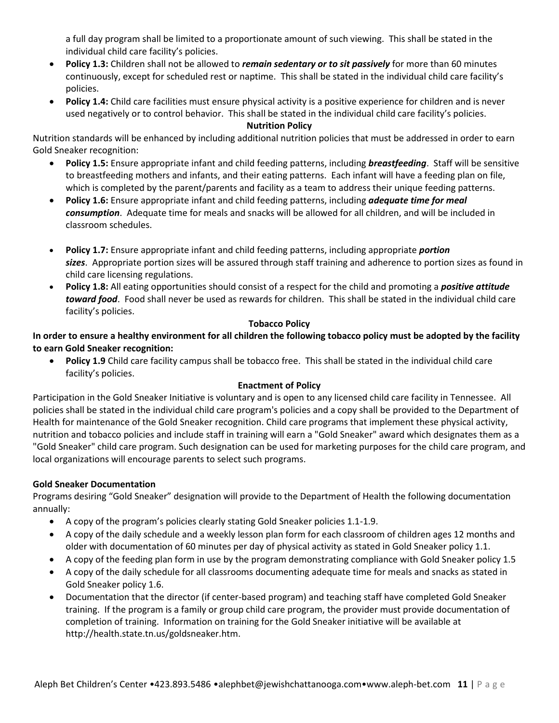a full day program shall be limited to a proportionate amount of such viewing. This shall be stated in the individual child care facility's policies.

- **Policy 1.3:** Children shall not be allowed to *remain sedentary or to sit passively* for more than 60 minutes continuously, except for scheduled rest or naptime. This shall be stated in the individual child care facility's policies.
- **Policy 1.4:** Child care facilities must ensure physical activity is a positive experience for children and is never used negatively or to control behavior. This shall be stated in the individual child care facility's policies.

## **Nutrition Policy**

Nutrition standards will be enhanced by including additional nutrition policies that must be addressed in order to earn Gold Sneaker recognition:

- **Policy 1.5:** Ensure appropriate infant and child feeding patterns, including *breastfeeding*. Staff will be sensitive to breastfeeding mothers and infants, and their eating patterns. Each infant will have a feeding plan on file, which is completed by the parent/parents and facility as a team to address their unique feeding patterns.
- **Policy 1.6:** Ensure appropriate infant and child feeding patterns, including *adequate time for meal consumption*. Adequate time for meals and snacks will be allowed for all children, and will be included in classroom schedules.
- **Policy 1.7:** Ensure appropriate infant and child feeding patterns, including appropriate *portion sizes*. Appropriate portion sizes will be assured through staff training and adherence to portion sizes as found in child care licensing regulations.
- **Policy 1.8:** All eating opportunities should consist of a respect for the child and promoting a *positive attitude toward food*. Food shall never be used as rewards for children. This shall be stated in the individual child care facility's policies.

## **Tobacco Policy**

**In order to ensure a healthy environment for all children the following tobacco policy must be adopted by the facility to earn Gold Sneaker recognition:**

 **Policy 1.9** Child care facility campus shall be tobacco free. This shall be stated in the individual child care facility's policies.

# **Enactment of Policy**

Participation in the Gold Sneaker Initiative is voluntary and is open to any licensed child care facility in Tennessee. All policies shall be stated in the individual child care program's policies and a copy shall be provided to the Department of Health for maintenance of the Gold Sneaker recognition. Child care programs that implement these physical activity, nutrition and tobacco policies and include staff in training will earn a "Gold Sneaker" award which designates them as a "Gold Sneaker" child care program. Such designation can be used for marketing purposes for the child care program, and local organizations will encourage parents to select such programs.

# **Gold Sneaker Documentation**

Programs desiring "Gold Sneaker" designation will provide to the Department of Health the following documentation annually:

- A copy of the program's policies clearly stating Gold Sneaker policies 1.1-1.9.
- A copy of the daily schedule and a weekly lesson plan form for each classroom of children ages 12 months and older with documentation of 60 minutes per day of physical activity as stated in Gold Sneaker policy 1.1.
- A copy of the feeding plan form in use by the program demonstrating compliance with Gold Sneaker policy 1.5
- A copy of the daily schedule for all classrooms documenting adequate time for meals and snacks as stated in Gold Sneaker policy 1.6.
- Documentation that the director (if center-based program) and teaching staff have completed Gold Sneaker training. If the program is a family or group child care program, the provider must provide documentation of completion of training. Information on training for the Gold Sneaker initiative will be available at http://health.state.tn.us/goldsneaker.htm.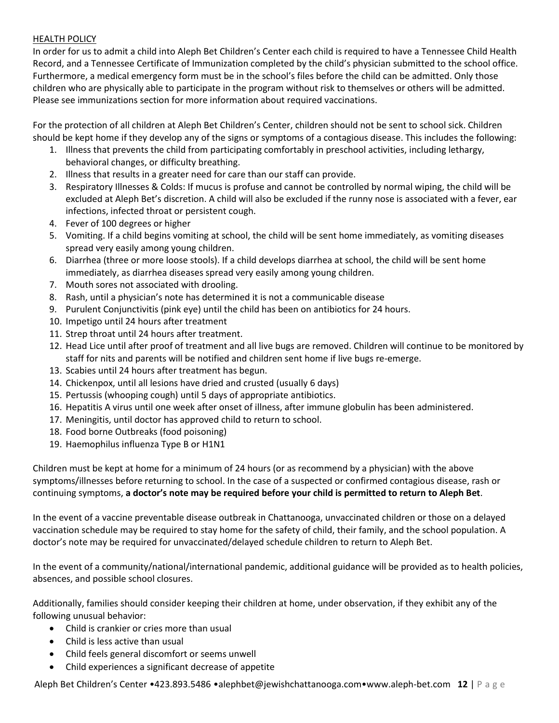## HEALTH POLICY

In order for us to admit a child into Aleph Bet Children's Center each child is required to have a Tennessee Child Health Record, and a Tennessee Certificate of Immunization completed by the child's physician submitted to the school office. Furthermore, a medical emergency form must be in the school's files before the child can be admitted. Only those children who are physically able to participate in the program without risk to themselves or others will be admitted. Please see immunizations section for more information about required vaccinations.

For the protection of all children at Aleph Bet Children's Center, children should not be sent to school sick. Children should be kept home if they develop any of the signs or symptoms of a contagious disease. This includes the following:

- 1. Illness that prevents the child from participating comfortably in preschool activities, including lethargy, behavioral changes, or difficulty breathing.
- 2. Illness that results in a greater need for care than our staff can provide.
- 3. Respiratory Illnesses & Colds: If mucus is profuse and cannot be controlled by normal wiping, the child will be excluded at Aleph Bet's discretion. A child will also be excluded if the runny nose is associated with a fever, ear infections, infected throat or persistent cough.
- 4. Fever of 100 degrees or higher
- 5. Vomiting. If a child begins vomiting at school, the child will be sent home immediately, as vomiting diseases spread very easily among young children.
- 6. Diarrhea (three or more loose stools). If a child develops diarrhea at school, the child will be sent home immediately, as diarrhea diseases spread very easily among young children.
- 7. Mouth sores not associated with drooling.
- 8. Rash, until a physician's note has determined it is not a communicable disease
- 9. Purulent Conjunctivitis (pink eye) until the child has been on antibiotics for 24 hours.
- 10. Impetigo until 24 hours after treatment
- 11. Strep throat until 24 hours after treatment.
- 12. Head Lice until after proof of treatment and all live bugs are removed. Children will continue to be monitored by staff for nits and parents will be notified and children sent home if live bugs re-emerge.
- 13. Scabies until 24 hours after treatment has begun.
- 14. Chickenpox, until all lesions have dried and crusted (usually 6 days)
- 15. Pertussis (whooping cough) until 5 days of appropriate antibiotics.
- 16. Hepatitis A virus until one week after onset of illness, after immune globulin has been administered.
- 17. Meningitis, until doctor has approved child to return to school.
- 18. Food borne Outbreaks (food poisoning)
- 19. Haemophilus influenza Type B or H1N1

Children must be kept at home for a minimum of 24 hours (or as recommend by a physician) with the above symptoms/illnesses before returning to school. In the case of a suspected or confirmed contagious disease, rash or continuing symptoms, **a doctor's note may be required before your child is permitted to return to Aleph Bet**.

In the event of a vaccine preventable disease outbreak in Chattanooga, unvaccinated children or those on a delayed vaccination schedule may be required to stay home for the safety of child, their family, and the school population. A doctor's note may be required for unvaccinated/delayed schedule children to return to Aleph Bet.

In the event of a community/national/international pandemic, additional guidance will be provided as to health policies, absences, and possible school closures.

Additionally, families should consider keeping their children at home, under observation, if they exhibit any of the following unusual behavior:

- Child is crankier or cries more than usual
- Child is less active than usual
- Child feels general discomfort or seems unwell
- Child experiences a significant decrease of appetite

Aleph Bet Children's Center •423.893.5486 •alephbet@jewishchattanooga.com•www.aleph-bet.com **12** | P a g e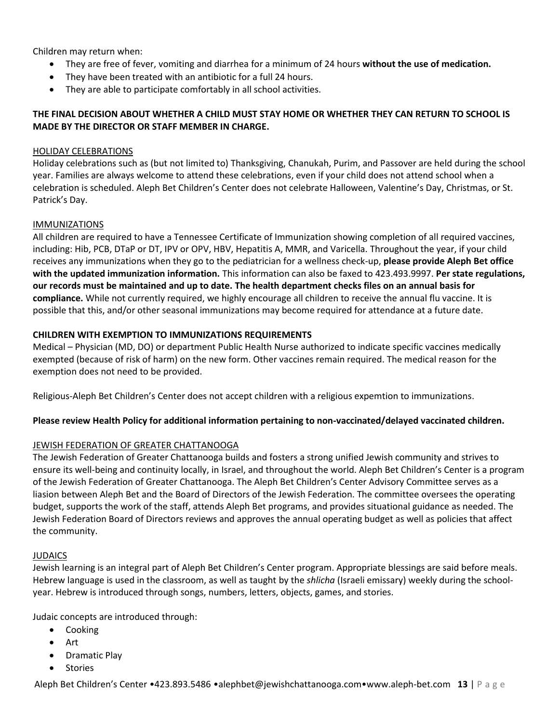Children may return when:

- They are free of fever, vomiting and diarrhea for a minimum of 24 hours **without the use of medication.**
- They have been treated with an antibiotic for a full 24 hours.
- They are able to participate comfortably in all school activities.

## **THE FINAL DECISION ABOUT WHETHER A CHILD MUST STAY HOME OR WHETHER THEY CAN RETURN TO SCHOOL IS MADE BY THE DIRECTOR OR STAFF MEMBER IN CHARGE.**

#### HOLIDAY CELEBRATIONS

Holiday celebrations such as (but not limited to) Thanksgiving, Chanukah, Purim, and Passover are held during the school year. Families are always welcome to attend these celebrations, even if your child does not attend school when a celebration is scheduled. Aleph Bet Children's Center does not celebrate Halloween, Valentine's Day, Christmas, or St. Patrick's Day.

#### IMMUNIZATIONS

All children are required to have a Tennessee Certificate of Immunization showing completion of all required vaccines, including: Hib, PCB, DTaP or DT, IPV or OPV, HBV, Hepatitis A, MMR, and Varicella. Throughout the year, if your child receives any immunizations when they go to the pediatrician for a wellness check-up, **please provide Aleph Bet office with the updated immunization information.** This information can also be faxed to 423.493.9997. **Per state regulations, our records must be maintained and up to date. The health department checks files on an annual basis for compliance.** While not currently required, we highly encourage all children to receive the annual flu vaccine. It is possible that this, and/or other seasonal immunizations may become required for attendance at a future date.

#### **CHILDREN WITH EXEMPTION TO IMMUNIZATIONS REQUIREMENTS**

Medical – Physician (MD, DO) or department Public Health Nurse authorized to indicate specific vaccines medically exempted (because of risk of harm) on the new form. Other vaccines remain required. The medical reason for the exemption does not need to be provided.

Religious-Aleph Bet Children's Center does not accept children with a religious expemtion to immunizations.

### **Please review Health Policy for additional information pertaining to non-vaccinated/delayed vaccinated children.**

### JEWISH FEDERATION OF GREATER CHATTANOOGA

The Jewish Federation of Greater Chattanooga builds and fosters a strong unified Jewish community and strives to ensure its well-being and continuity locally, in Israel, and throughout the world. Aleph Bet Children's Center is a program of the Jewish Federation of Greater Chattanooga. The Aleph Bet Children's Center Advisory Committee serves as a liasion between Aleph Bet and the Board of Directors of the Jewish Federation. The committee oversees the operating budget, supports the work of the staff, attends Aleph Bet programs, and provides situational guidance as needed. The Jewish Federation Board of Directors reviews and approves the annual operating budget as well as policies that affect the community.

#### JUDAICS

Jewish learning is an integral part of Aleph Bet Children's Center program. Appropriate blessings are said before meals. Hebrew language is used in the classroom, as well as taught by the *shlicha* (Israeli emissary) weekly during the schoolyear. Hebrew is introduced through songs, numbers, letters, objects, games, and stories.

Judaic concepts are introduced through:

- Cooking
- Art
- Dramatic Play
- Stories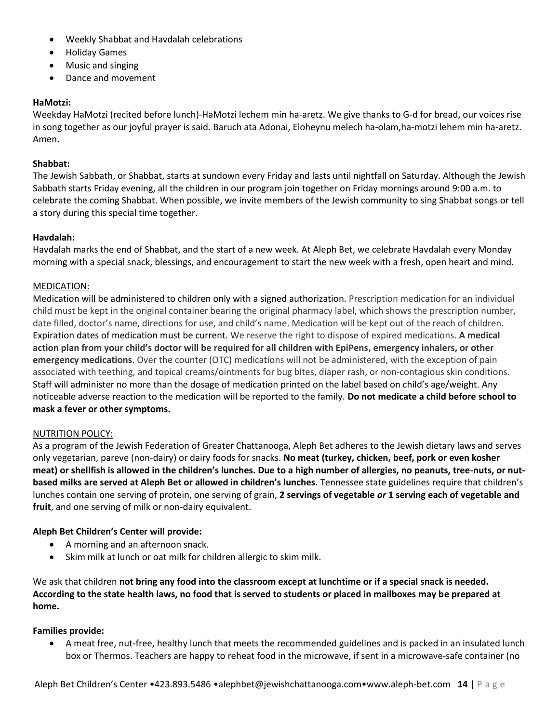- Weekly Shabbat and Havdalah celebrations
- Holiday Games
- Music and singing
- Dance and movement

# **HaMotzi:**

Weekday HaMotzi (recited before lunch)-HaMotzi lechem min ha-aretz. We give thanks to G-d for bread, our voices rise in song together as our joyful prayer is said. Baruch ata Adonai, Eloheynu melech ha-olam,ha-motzi lehem min ha-aretz. Amen.

# **Shabbat:**

The Jewish Sabbath, or Shabbat, starts at sundown every Friday and lasts until nightfall on Saturday. Although the Jewish Sabbath starts Friday evening, all the children in our program join together on Friday mornings around 9:00 a.m. to celebrate the coming Shabbat. When possible, we invite members of the Jewish community to sing Shabbat songs or tell a story during this special time together.

# **Havdalah:**

Havdalah marks the end of Shabbat, and the start of a new week. At Aleph Bet, we celebrate Havdalah every Monday morning with a special snack, blessings, and encouragement to start the new week with a fresh, open heart and mind.

# MEDICATION:

Medication will be administered to children only with a signed authorization. Prescription medication for an individual child must be kept in the original container bearing the original pharmacy label, which shows the prescription number, date filled, doctor's name, directions for use, and child's name. Medication will be kept out of the reach of children. Expiration dates of medication must be current. We reserve the right to dispose of expired medications. **A medical action plan from your child's doctor will be required for all children with EpiPens, emergency inhalers, or other emergency medications**. Over the counter (OTC) medications will not be administered, with the exception of pain associated with teething, and topical creams/ointments for bug bites, diaper rash, or non-contagious skin conditions. Staff will administer no more than the dosage of medication printed on the label based on child's age/weight. Any noticeable adverse reaction to the medication will be reported to the family. **Do not medicate a child before school to mask a fever or other symptoms.**

### NUTRITION POLICY:

As a program of the Jewish Federation of Greater Chattanooga, Aleph Bet adheres to the Jewish dietary laws and serves only vegetarian, pareve (non-dairy) or dairy foods for snacks. **No meat (turkey, chicken, beef, pork or even kosher meat) or shellfish is allowed in the children's lunches. Due to a high number of allergies, no peanuts, tree-nuts, or nutbased milks are served at Aleph Bet or allowed in children's lunches.** Tennessee state guidelines require that children's lunches contain one serving of protein, one serving of grain, **2 servings of vegetable** *or* **1 serving each of vegetable and fruit**, and one serving of milk or non-dairy equivalent.

# **Aleph Bet Children's Center will provide:**

- A morning and an afternoon snack.
- Skim milk at lunch or oat milk for children allergic to skim milk.

We ask that children **not bring any food into the classroom except at lunchtime or if a special snack is needed. According to the state health laws, no food that is served to students or placed in mailboxes may be prepared at home.**

### **Families provide:**

 A meat free, nut-free, healthy lunch that meets the recommended guidelines and is packed in an insulated lunch box or Thermos. Teachers are happy to reheat food in the microwave, if sent in a microwave-safe container (no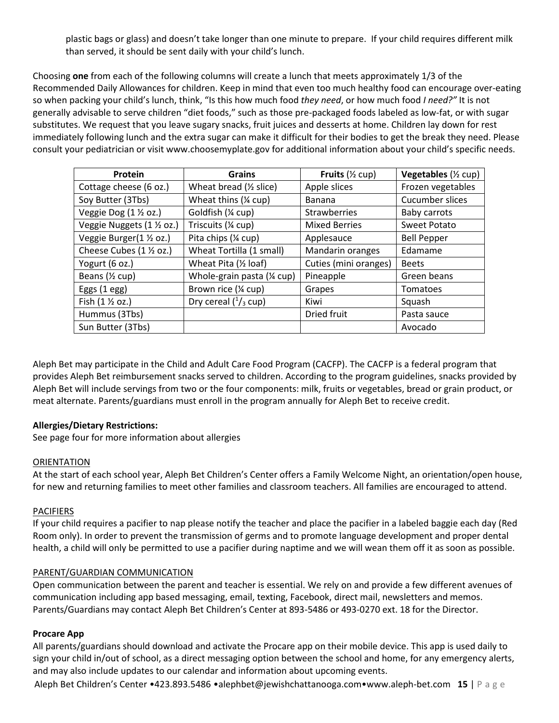plastic bags or glass) and doesn't take longer than one minute to prepare. If your child requires different milk than served, it should be sent daily with your child's lunch.

Choosing **one** from each of the following columns will create a lunch that meets approximately 1/3 of the Recommended Daily Allowances for children. Keep in mind that even too much healthy food can encourage over-eating so when packing your child's lunch, think, "Is this how much food *they need*, or how much food *I need?"* It is not generally advisable to serve children "diet foods," such as those pre-packaged foods labeled as low-fat, or with sugar substitutes. We request that you leave sugary snacks, fruit juices and desserts at home. Children lay down for rest immediately following lunch and the extra sugar can make it difficult for their bodies to get the break they need. Please consult your pediatrician or visit www.choosemyplate.gov for additional information about your child's specific needs.

| Protein                    | <b>Grains</b>                     | Fruits $($ 2 cup)     | Vegetables (1/2 cup) |
|----------------------------|-----------------------------------|-----------------------|----------------------|
| Cottage cheese (6 oz.)     | Wheat bread $(\frac{1}{2} slice)$ | Apple slices          | Frozen vegetables    |
| Soy Butter (3Tbs)          | Wheat thins (% cup)               | <b>Banana</b>         | Cucumber slices      |
| Veggie Dog (1 1/2 oz.)     | Goldfish (¼ cup)                  | Strawberries          | Baby carrots         |
| Veggie Nuggets (1 1/2 oz.) | Triscuits (1/4 cup)               | <b>Mixed Berries</b>  | Sweet Potato         |
| Veggie Burger(1 1/2 oz.)   | Pita chips (1/4 cup)              | Applesauce            | <b>Bell Pepper</b>   |
| Cheese Cubes (1 1/2 oz.)   | Wheat Tortilla (1 small)          | Mandarin oranges      | Edamame              |
| Yogurt (6 oz.)             | Wheat Pita (1/2 loaf)             | Cuties (mini oranges) | <b>Beets</b>         |
| Beans $(\frac{1}{2} cup)$  | Whole-grain pasta (1/4 cup)       | Pineapple             | Green beans          |
| Eggs $(1 - \epsilon)$      | Brown rice (1/4 cup)              | Grapes                | Tomatoes             |
| Fish (1 1/2 oz.)           | Dry cereal $(^1/3$ cup)           | Kiwi                  | Squash               |
| Hummus (3Tbs)              |                                   | Dried fruit           | Pasta sauce          |
| Sun Butter (3Tbs)          |                                   |                       | Avocado              |

Aleph Bet may participate in the Child and Adult Care Food Program (CACFP). The CACFP is a federal program that provides Aleph Bet reimbursement snacks served to children. According to the program guidelines, snacks provided by Aleph Bet will include servings from two or the four components: milk, fruits or vegetables, bread or grain product, or meat alternate. Parents/guardians must enroll in the program annually for Aleph Bet to receive credit.

### **Allergies/Dietary Restrictions:**

See page four for more information about allergies

### ORIENTATION

At the start of each school year, Aleph Bet Children's Center offers a Family Welcome Night, an orientation/open house, for new and returning families to meet other families and classroom teachers. All families are encouraged to attend.

### PACIFIERS

If your child requires a pacifier to nap please notify the teacher and place the pacifier in a labeled baggie each day (Red Room only). In order to prevent the transmission of germs and to promote language development and proper dental health, a child will only be permitted to use a pacifier during naptime and we will wean them off it as soon as possible.

### PARENT/GUARDIAN COMMUNICATION

Open communication between the parent and teacher is essential. We rely on and provide a few different avenues of communication including app based messaging, email, texting, Facebook, direct mail, newsletters and memos. Parents/Guardians may contact Aleph Bet Children's Center at 893-5486 or 493-0270 ext. 18 for the Director.

### **Procare App**

All parents/guardians should download and activate the Procare app on their mobile device. This app is used daily to sign your child in/out of school, as a direct messaging option between the school and home, for any emergency alerts, and may also include updates to our calendar and information about upcoming events.

Aleph Bet Children's Center •423.893.5486 •alephbet@jewishchattanooga.com•www.aleph-bet.com **15** | P a g e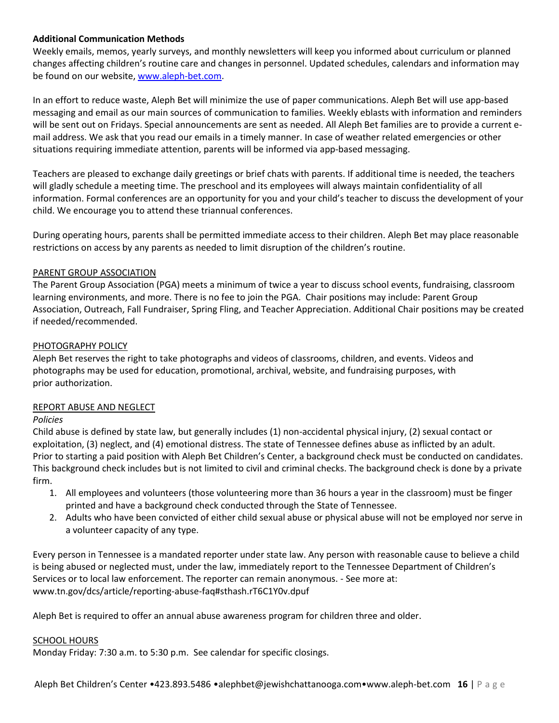## **Additional Communication Methods**

Weekly emails, memos, yearly surveys, and monthly newsletters will keep you informed about curriculum or planned changes affecting children's routine care and changes in personnel. Updated schedules, calendars and information may be found on our website, [www.aleph-bet.com.](http://www.aleph-bet.com/)

In an effort to reduce waste, Aleph Bet will minimize the use of paper communications. Aleph Bet will use app-based messaging and email as our main sources of communication to families. Weekly eblasts with information and reminders will be sent out on Fridays. Special announcements are sent as needed. All Aleph Bet families are to provide a current email address. We ask that you read our emails in a timely manner. In case of weather related emergencies or other situations requiring immediate attention, parents will be informed via app-based messaging.

Teachers are pleased to exchange daily greetings or brief chats with parents. If additional time is needed, the teachers will gladly schedule a meeting time. The preschool and its employees will always maintain confidentiality of all information. Formal conferences are an opportunity for you and your child's teacher to discuss the development of your child. We encourage you to attend these triannual conferences.

During operating hours, parents shall be permitted immediate access to their children. Aleph Bet may place reasonable restrictions on access by any parents as needed to limit disruption of the children's routine.

### PARENT GROUP ASSOCIATION

The Parent Group Association (PGA) meets a minimum of twice a year to discuss school events, fundraising, classroom learning environments, and more. There is no fee to join the PGA. Chair positions may include: Parent Group Association, Outreach, Fall Fundraiser, Spring Fling, and Teacher Appreciation. Additional Chair positions may be created if needed/recommended.

### PHOTOGRAPHY POLICY

Aleph Bet reserves the right to take photographs and videos of classrooms, children, and events. Videos and photographs may be used for education, promotional, archival, website, and fundraising purposes, with prior authorization.

### REPORT ABUSE AND NEGLECT

### *Policies*

Child abuse is defined by state law, but generally includes (1) non-accidental physical injury, (2) sexual contact or exploitation, (3) neglect, and (4) emotional distress. The state of Tennessee defines abuse as inflicted by an adult. Prior to starting a paid position with Aleph Bet Children's Center, a background check must be conducted on candidates. This background check includes but is not limited to civil and criminal checks. The background check is done by a private firm.

- 1. All employees and volunteers (those volunteering more than 36 hours a year in the classroom) must be finger printed and have a background check conducted through the State of Tennessee.
- 2. Adults who have been convicted of either child sexual abuse or physical abuse will not be employed nor serve in a volunteer capacity of any type.

Every person in Tennessee is a mandated reporter under state law. Any person with reasonable cause to believe a child is being abused or neglected must, under the law, immediately report to the Tennessee Department of Children's Services or to local law enforcement. The reporter can remain anonymous. - See more at: www.tn.gov/dcs/article/reporting-abuse-faq#sthash.rT6C1Y0v.dpuf

Aleph Bet is required to offer an annual abuse awareness program for children three and older.

### SCHOOL HOURS

Monday Friday: 7:30 a.m. to 5:30 p.m. See calendar for specific closings.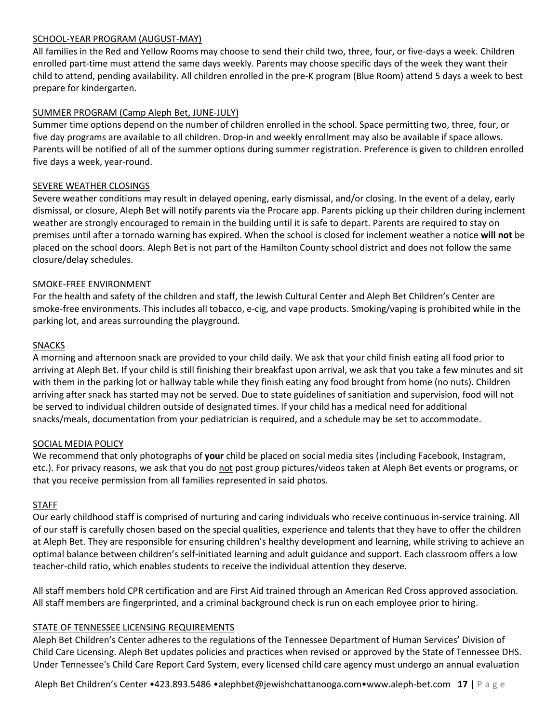### SCHOOL-YEAR PROGRAM (AUGUST-MAY)

All families in the Red and Yellow Rooms may choose to send their child two, three, four, or five-days a week. Children enrolled part-time must attend the same days weekly. Parents may choose specific days of the week they want their child to attend, pending availability. All children enrolled in the pre-K program (Blue Room) attend 5 days a week to best prepare for kindergarten.

## SUMMER PROGRAM (Camp Aleph Bet, JUNE-JULY)

Summer time options depend on the number of children enrolled in the school. Space permitting two, three, four, or five day programs are available to all children. Drop-in and weekly enrollment may also be available if space allows. Parents will be notified of all of the summer options during summer registration. Preference is given to children enrolled five days a week, year-round.

## SEVERE WEATHER CLOSINGS

Severe weather conditions may result in delayed opening, early dismissal, and/or closing. In the event of a delay, early dismissal, or closure, Aleph Bet will notify parents via the Procare app. Parents picking up their children during inclement weather are strongly encouraged to remain in the building until it is safe to depart. Parents are required to stay on premises until after a tornado warning has expired. When the school is closed for inclement weather a notice **will not** be placed on the school doors. Aleph Bet is not part of the Hamilton County school district and does not follow the same closure/delay schedules.

### SMOKE-FREE ENVIRONMENT

For the health and safety of the children and staff, the Jewish Cultural Center and Aleph Bet Children's Center are smoke-free environments. This includes all tobacco, e-cig, and vape products. Smoking/vaping is prohibited while in the parking lot, and areas surrounding the playground.

## SNACKS

A morning and afternoon snack are provided to your child daily. We ask that your child finish eating all food prior to arriving at Aleph Bet. If your child is still finishing their breakfast upon arrival, we ask that you take a few minutes and sit with them in the parking lot or hallway table while they finish eating any food brought from home (no nuts). Children arriving after snack has started may not be served. Due to state guidelines of sanitiation and supervision, food will not be served to individual children outside of designated times. If your child has a medical need for additional snacks/meals, documentation from your pediatrician is required, and a schedule may be set to accommodate.

### SOCIAL MEDIA POLICY

We recommend that only photographs of **your** child be placed on social media sites (including Facebook, Instagram, etc.). For privacy reasons, we ask that you do not post group pictures/videos taken at Aleph Bet events or programs, or that you receive permission from all families represented in said photos.

### STAFF

Our early childhood staff is comprised of nurturing and caring individuals who receive continuous in-service training. All of our staff is carefully chosen based on the special qualities, experience and talents that they have to offer the children at Aleph Bet. They are responsible for ensuring children's healthy development and learning, while striving to achieve an optimal balance between children's self-initiated learning and adult guidance and support. Each classroom offers a low teacher-child ratio, which enables students to receive the individual attention they deserve.

All staff members hold CPR certification and are First Aid trained through an American Red Cross approved association. All staff members are fingerprinted, and a criminal background check is run on each employee prior to hiring.

### STATE OF TENNESSEE LICENSING REQUIREMENTS

Aleph Bet Children's Center adheres to the regulations of the Tennessee Department of Human Services' Division of Child Care Licensing. Aleph Bet updates policies and practices when revised or approved by the State of Tennessee DHS. Under Tennessee's Child Care Report Card System, every licensed child care agency must undergo an annual evaluation

Aleph Bet Children's Center •423.893.5486 •alephbet@jewishchattanooga.com•www.aleph-bet.com **17** | P a g e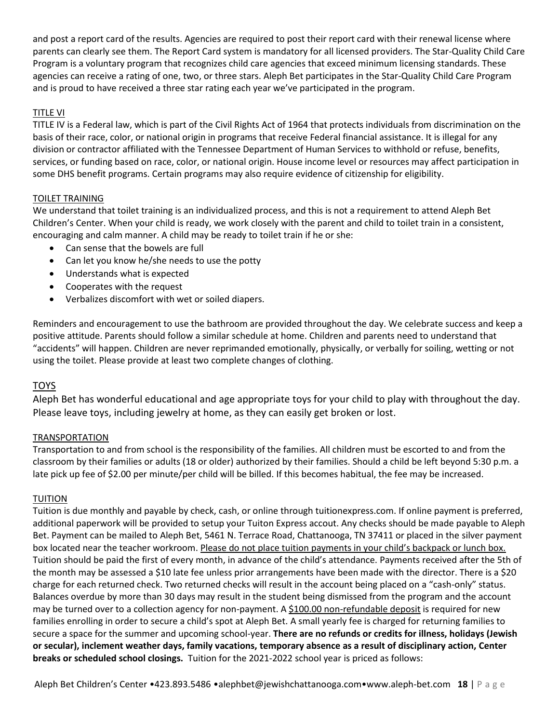and post a report card of the results. Agencies are required to post their report card with their renewal license where parents can clearly see them. The Report Card system is mandatory for all licensed providers. The Star-Quality Child Care Program is a voluntary program that recognizes child care agencies that exceed minimum licensing standards. These agencies can receive a rating of one, two, or three stars. Aleph Bet participates in the Star-Quality Child Care Program and is proud to have received a three star rating each year we've participated in the program.

# TITLE VI

TITLE IV is a Federal law, which is part of the Civil Rights Act of 1964 that protects individuals from discrimination on the basis of their race, color, or national origin in programs that receive Federal financial assistance. It is illegal for any division or contractor affiliated with the Tennessee Department of Human Services to withhold or refuse, benefits, services, or funding based on race, color, or national origin. House income level or resources may affect participation in some DHS benefit programs. Certain programs may also require evidence of citizenship for eligibility.

## TOILET TRAINING

We understand that toilet training is an individualized process, and this is not a requirement to attend Aleph Bet Children's Center. When your child is ready, we work closely with the parent and child to toilet train in a consistent, encouraging and calm manner. A child may be ready to toilet train if he or she:

- Can sense that the bowels are full
- Can let you know he/she needs to use the potty
- Understands what is expected
- Cooperates with the request
- Verbalizes discomfort with wet or soiled diapers.

Reminders and encouragement to use the bathroom are provided throughout the day. We celebrate success and keep a positive attitude. Parents should follow a similar schedule at home. Children and parents need to understand that "accidents" will happen. Children are never reprimanded emotionally, physically, or verbally for soiling, wetting or not using the toilet. Please provide at least two complete changes of clothing.

# TOYS

Aleph Bet has wonderful educational and age appropriate toys for your child to play with throughout the day. Please leave toys, including jewelry at home, as they can easily get broken or lost.

### TRANSPORTATION

Transportation to and from school is the responsibility of the families. All children must be escorted to and from the classroom by their families or adults (18 or older) authorized by their families. Should a child be left beyond 5:30 p.m. a late pick up fee of \$2.00 per minute/per child will be billed. If this becomes habitual, the fee may be increased.

### TUITION

Tuition is due monthly and payable by check, cash, or online through tuitionexpress.com. If online payment is preferred, additional paperwork will be provided to setup your Tuiton Express accout. Any checks should be made payable to Aleph Bet. Payment can be mailed to Aleph Bet, 5461 N. Terrace Road, Chattanooga, TN 37411 or placed in the silver payment box located near the teacher workroom. Please do not place tuition payments in your child's backpack or lunch box. Tuition should be paid the first of every month, in advance of the child's attendance. Payments received after the 5th of the month may be assessed a \$10 late fee unless prior arrangements have been made with the director. There is a \$20 charge for each returned check. Two returned checks will result in the account being placed on a "cash-only" status. Balances overdue by more than 30 days may result in the student being dismissed from the program and the account may be turned over to a collection agency for non-payment. A \$100.00 non-refundable deposit is required for new families enrolling in order to secure a child's spot at Aleph Bet. A small yearly fee is charged for returning families to secure a space for the summer and upcoming school-year. **There are no refunds or credits for illness, holidays (Jewish or secular), inclement weather days, family vacations, temporary absence as a result of disciplinary action, Center breaks or scheduled school closings.** Tuition for the 2021-2022 school year is priced as follows: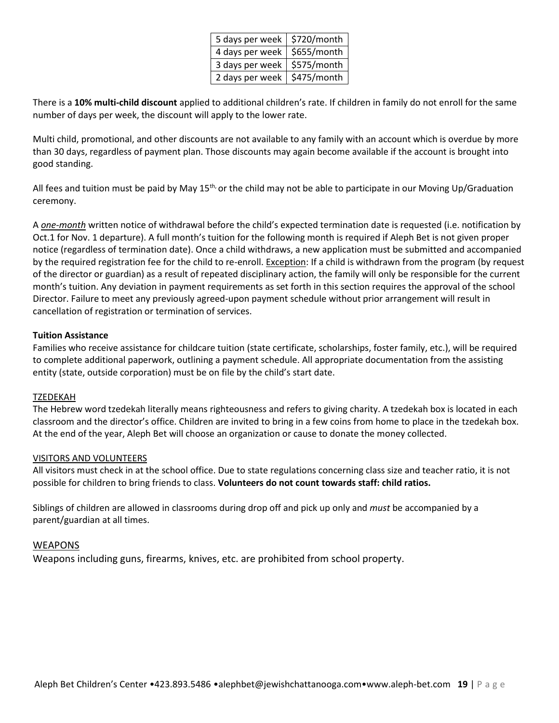| 5 days per week   \$720/month |             |
|-------------------------------|-------------|
| 4 days per week               | \$655/month |
| 3 days per week               | \$575/month |
| 2 days per week               | \$475/month |

There is a **10% multi-child discount** applied to additional children's rate. If children in family do not enroll for the same number of days per week, the discount will apply to the lower rate.

Multi child, promotional, and other discounts are not available to any family with an account which is overdue by more than 30 days, regardless of payment plan. Those discounts may again become available if the account is brought into good standing.

All fees and tuition must be paid by May  $15<sup>th</sup>$ , or the child may not be able to participate in our Moving Up/Graduation ceremony.

A *one-month* written notice of withdrawal before the child's expected termination date is requested (i.e. notification by Oct.1 for Nov. 1 departure). A full month's tuition for the following month is required if Aleph Bet is not given proper notice (regardless of termination date). Once a child withdraws, a new application must be submitted and accompanied by the required registration fee for the child to re-enroll. Exception: If a child is withdrawn from the program (by request of the director or guardian) as a result of repeated disciplinary action, the family will only be responsible for the current month's tuition. Any deviation in payment requirements as set forth in this section requires the approval of the school Director. Failure to meet any previously agreed-upon payment schedule without prior arrangement will result in cancellation of registration or termination of services.

### **Tuition Assistance**

Families who receive assistance for childcare tuition (state certificate, scholarships, foster family, etc.), will be required to complete additional paperwork, outlining a payment schedule. All appropriate documentation from the assisting entity (state, outside corporation) must be on file by the child's start date.

### TZEDEKAH

The Hebrew word tzedekah literally means righteousness and refers to giving charity. A tzedekah box is located in each classroom and the director's office. Children are invited to bring in a few coins from home to place in the tzedekah box. At the end of the year, Aleph Bet will choose an organization or cause to donate the money collected.

### VISITORS AND VOLUNTEERS

All visitors must check in at the school office. Due to state regulations concerning class size and teacher ratio, it is not possible for children to bring friends to class. **Volunteers do not count towards staff: child ratios.**

Siblings of children are allowed in classrooms during drop off and pick up only and *must* be accompanied by a parent/guardian at all times.

### **WEAPONS**

Weapons including guns, firearms, knives, etc. are prohibited from school property.